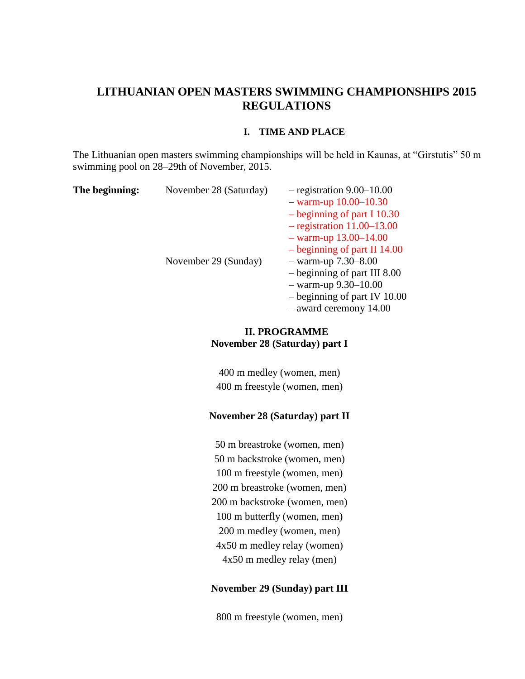# **LITHUANIAN OPEN MASTERS SWIMMING CHAMPIONSHIPS 2015 REGULATIONS**

#### **I. TIME AND PLACE**

The Lithuanian open masters swimming championships will be held in Kaunas, at "Girstutis" 50 m swimming pool on 28–29th of November, 2015.

| The beginning: | November 28 (Saturday) | $-$ registration 9.00–10.00    |  |  |  |
|----------------|------------------------|--------------------------------|--|--|--|
|                |                        | $-$ warm-up 10.00–10.30        |  |  |  |
|                |                        | $-$ beginning of part I 10.30  |  |  |  |
|                |                        | $-$ registration 11.00–13.00   |  |  |  |
|                |                        | $-$ warm-up 13.00–14.00        |  |  |  |
|                |                        | $-$ beginning of part II 14.00 |  |  |  |
|                | November 29 (Sunday)   | $-$ warm-up 7.30–8.00          |  |  |  |
|                |                        | $-$ beginning of part III 8.00 |  |  |  |
|                |                        | $-$ warm-up 9.30-10.00         |  |  |  |
|                |                        | $-$ beginning of part IV 10.00 |  |  |  |
|                |                        | $-$ award ceremony 14.00       |  |  |  |

## **II. PROGRAMME November 28 (Saturday) part I**

400 m medley (women, men) 400 m freestyle (women, men)

### **November 28 (Saturday) part II**

50 m breastroke (women, men) 50 m backstroke (women, men) 100 m freestyle (women, men) 200 m breastroke (women, men) 200 m backstroke (women, men) 100 m butterfly (women, men) 200 m medley (women, men) 4x50 m medley relay (women) 4x50 m medley relay (men)

### **November 29 (Sunday) part III**

800 m freestyle (women, men)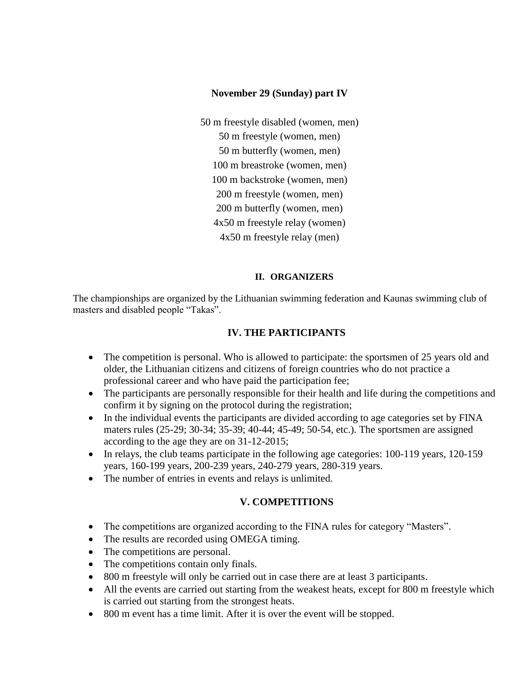### **November 29 (Sunday) part IV**

50 m freestyle disabled (women, men) 50 m freestyle (women, men) 50 m butterfly (women, men) 100 m breastroke (women, men) 100 m backstroke (women, men) 200 m freestyle (women, men) 200 m butterfly (women, men) 4x50 m freestyle relay (women) 4x50 m freestyle relay (men)

### **II. ORGANIZERS**

The championships are organized by the Lithuanian swimming federation and Kaunas swimming club of masters and disabled people "Takas".

### **IV. THE PARTICIPANTS**

- The competition is personal. Who is allowed to participate: the sportsmen of 25 years old and older, the Lithuanian citizens and citizens of foreign countries who do not practice a professional career and who have paid the participation fee;
- The participants are personally responsible for their health and life during the competitions and confirm it by signing on the protocol during the registration;
- In the individual events the participants are divided according to age categories set by FINA maters rules (25-29; 30-34; 35-39; 40-44; 45-49; 50-54, etc.). The sportsmen are assigned according to the age they are on 31-12-2015;
- $\bullet$  In relays, the club teams participate in the following age categories: 100-119 years, 120-159 years, 160-199 years, 200-239 years, 240-279 years, 280-319 years.
- The number of entries in events and relays is unlimited.

### **V. COMPETITIONS**

- The competitions are organized according to the FINA rules for category "Masters".
- The results are recorded using OMEGA timing.
- The competitions are personal.
- The competitions contain only finals.
- 800 m freestyle will only be carried out in case there are at least 3 participants.
- All the events are carried out starting from the weakest heats, except for 800 m freestyle which is carried out starting from the strongest heats.
- 800 m event has a time limit. After it is over the event will be stopped.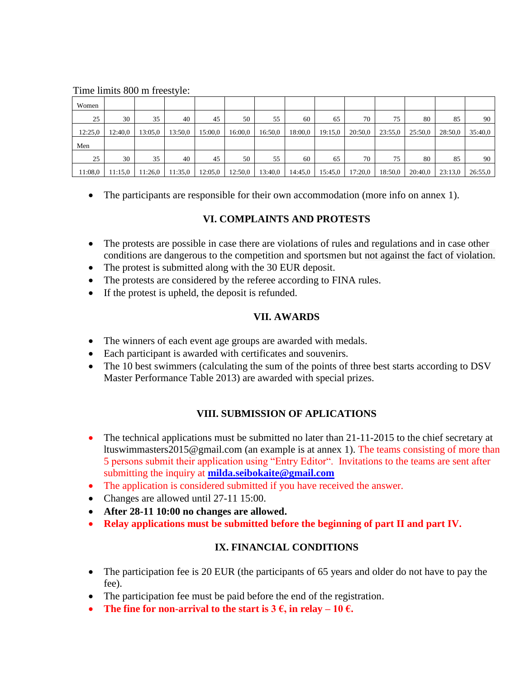#### Time limits 800 m freestyle:

| Women   |         |         |         |         |         |         |         |         |         |         |         |         |         |
|---------|---------|---------|---------|---------|---------|---------|---------|---------|---------|---------|---------|---------|---------|
| 25      | 30      | 35      | 40      | 45      | 50      | 55      | 60      | 65      | 70      | 75      | 80      | 85      | 90      |
| 12:25.0 | 12:40,0 | 13:05.0 | 13:50,0 | 15:00,0 | 16:00,0 | 16:50,0 | 18:00.0 | 19:15.0 | 20:50,0 | 23:55,0 | 25:50,0 | 28:50,0 | 35:40,0 |
| Men     |         |         |         |         |         |         |         |         |         |         |         |         |         |
| 25      | 30      | 35      | 40      | 45      | 50      | 55      | 60      | 65      | 70      | 75      | 80      | 85      | 90      |
| 11:08.0 | 11:15.0 | 11:26,0 | 11:35,0 | 12:05,0 | 12:50.0 | 13:40.0 | 14:45,0 | 15:45.0 | 17:20,0 | 18:50,0 | 20:40,0 | 23:13.0 | 26:55.0 |

The participants are responsible for their own accommodation (more info on annex 1).

# **VI. COMPLAINTS AND PROTESTS**

- The protests are possible in case there are violations of rules and regulations and in case other conditions are dangerous to the competition and sportsmen but not against the fact of violation.
- The protest is submitted along with the 30 EUR deposit.
- The protests are considered by the referee according to FINA rules.
- If the protest is upheld, the deposit is refunded.

## **VII. AWARDS**

- The winners of each event age groups are awarded with medals.
- Each participant is awarded with certificates and souvenirs.
- The 10 best swimmers (calculating the sum of the points of three best starts according to DSV Master Performance Table 2013) are awarded with special prizes.

# **VIII. SUBMISSION OF APLICATIONS**

- The technical applications must be submitted no later than 21-11-2015 to the chief secretary at ltuswimmasters2015@gmail.com (an example is at annex 1). The teams consisting of more than 5 persons submit their application using "Entry Editor". Invitations to the teams are sent after submitting the inquiry at **[milda.seibokaite@gmail.com](mailto:milda.seibokaite@gmail.com)**
- The application is considered submitted if you have received the answer.
- Changes are allowed until 27-11 15:00.
- **After 28-11 10:00 no changes are allowed.**
- **Relay applications must be submitted before the beginning of part II and part IV.**

# **IX. FINANCIAL CONDITIONS**

- The participation fee is 20 EUR (the participants of 65 years and older do not have to pay the fee).
- The participation fee must be paid before the end of the registration.
- The fine for non-arrival to the start is  $3 \notin$ , in relay  $-10 \notin$ .